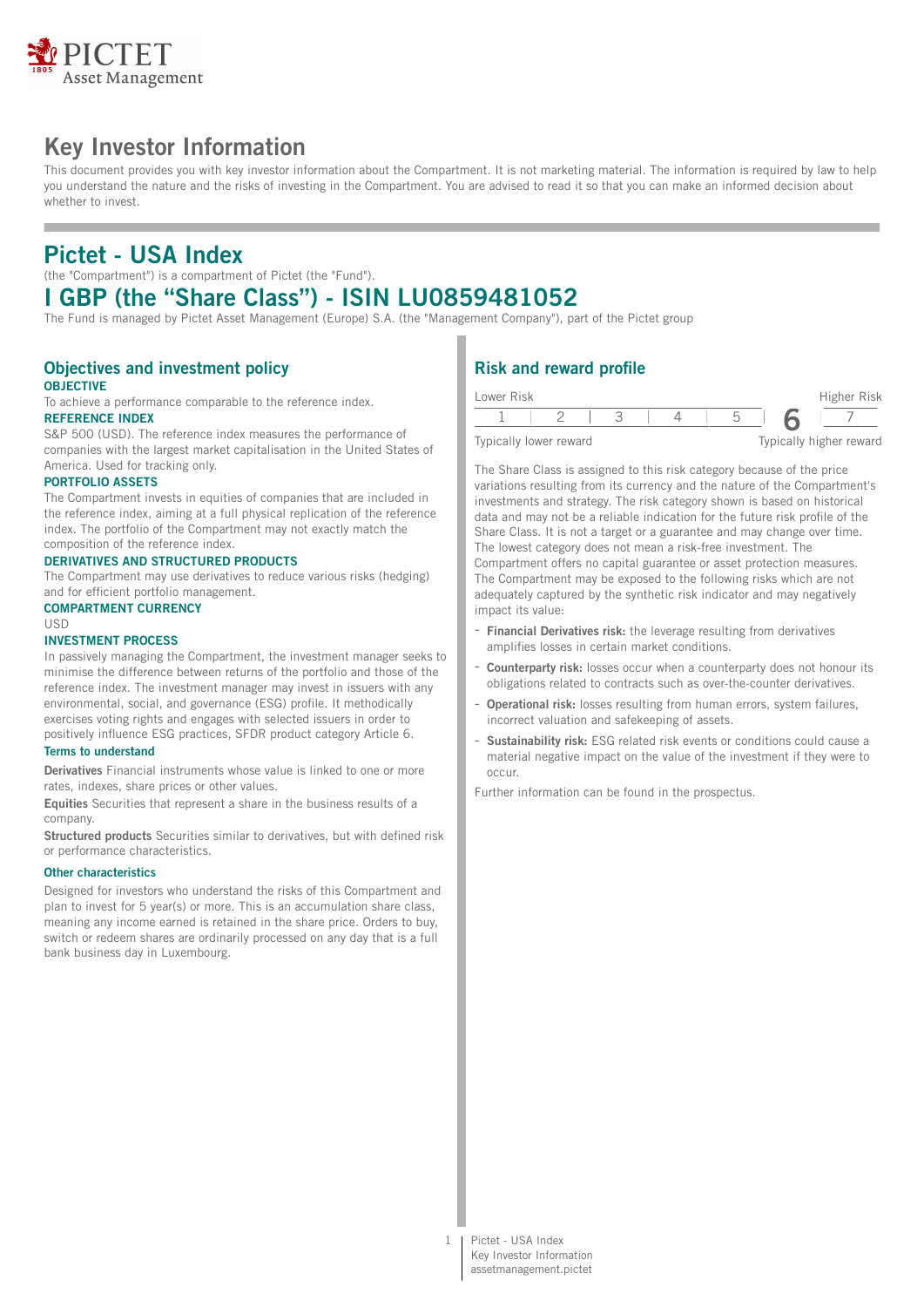

# **Key Investor Information**

This document provides you with key investor information about the Compartment. It is not marketing material. The information is required by law to help you understand the nature and the risks of investing in the Compartment. You are advised to read it so that you can make an informed decision about whether to invest.

# **Pictet - USA Index**

(the "Compartment") is a compartment of Pictet (the "Fund").

# **I GBP (the "Share Class") - ISIN LU0859481052**

The Fund is managed by Pictet Asset Management (Europe) S.A. (the "Management Company"), part of the Pictet group

#### **Objectives and investment policy OBJECTIVE**

To achieve a performance comparable to the reference index. **REFERENCE INDEX**

S&P 500 (USD). The reference index measures the performance of companies with the largest market capitalisation in the United States of America. Used for tracking only.

#### **PORTFOLIO ASSETS**

The Compartment invests in equities of companies that are included in the reference index, aiming at a full physical replication of the reference index. The portfolio of the Compartment may not exactly match the composition of the reference index.

### **DERIVATIVES AND STRUCTURED PRODUCTS**

The Compartment may use derivatives to reduce various risks (hedging) and for efficient portfolio management.

#### **COMPARTMENT CURRENCY**

USD

## **INVESTMENT PROCESS**

In passively managing the Compartment, the investment manager seeks to minimise the difference between returns of the portfolio and those of the reference index. The investment manager may invest in issuers with any environmental, social, and governance (ESG) profile. It methodically exercises voting rights and engages with selected issuers in order to positively influence ESG practices, SFDR product category Article 6.

#### **Terms to understand**

**Derivatives** Financial instruments whose value is linked to one or more rates, indexes, share prices or other values.

**Equities** Securities that represent a share in the business results of a company.

**Structured products** Securities similar to derivatives, but with defined risk or performance characteristics.

#### **Other characteristics**

Designed for investors who understand the risks of this Compartment and plan to invest for 5 year(s) or more. This is an accumulation share class, meaning any income earned is retained in the share price. Orders to buy, switch or redeem shares are ordinarily processed on any day that is a full bank business day in Luxembourg.

# **Risk and reward profile**

| Lower Risk |                        |  |  | Higher Risk             |
|------------|------------------------|--|--|-------------------------|
|            |                        |  |  |                         |
|            | Typically lower reward |  |  | Typically higher reward |

The Share Class is assigned to this risk category because of the price variations resulting from its currency and the nature of the Compartment's investments and strategy. The risk category shown is based on historical data and may not be a reliable indication for the future risk profile of the Share Class. It is not a target or a guarantee and may change over time. The lowest category does not mean a risk-free investment. The Compartment offers no capital guarantee or asset protection measures. The Compartment may be exposed to the following risks which are not adequately captured by the synthetic risk indicator and may negatively impact its value:

- **Financial Derivatives risk:** the leverage resulting from derivatives amplifies losses in certain market conditions.
- Counterparty risk: losses occur when a counterparty does not honour its obligations related to contracts such as over-the-counter derivatives.
- **Operational risk:** losses resulting from human errors, system failures, incorrect valuation and safekeeping of assets.
- **Sustainability risk:** ESG related risk events or conditions could cause a material negative impact on the value of the investment if they were to occur.

Further information can be found in the prospectus.